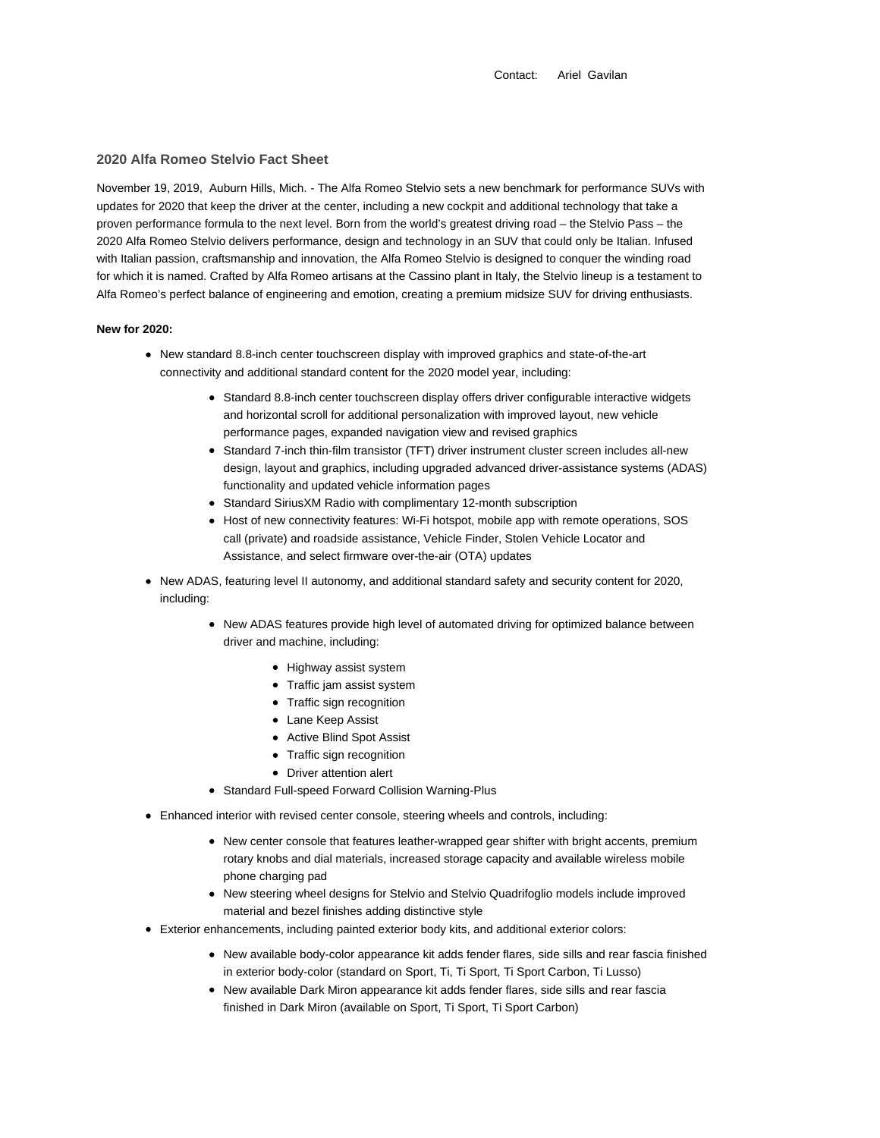Contact: Ariel Gavilan

## **2020 Alfa Romeo Stelvio Fact Sheet**

November 19, 2019, Auburn Hills, Mich. - The Alfa Romeo Stelvio sets a new benchmark for performance SUVs with updates for 2020 that keep the driver at the center, including a new cockpit and additional technology that take a proven performance formula to the next level. Born from the world's greatest driving road – the Stelvio Pass – the 2020 Alfa Romeo Stelvio delivers performance, design and technology in an SUV that could only be Italian. Infused with Italian passion, craftsmanship and innovation, the Alfa Romeo Stelvio is designed to conquer the winding road for which it is named. Crafted by Alfa Romeo artisans at the Cassino plant in Italy, the Stelvio lineup is a testament to Alfa Romeo's perfect balance of engineering and emotion, creating a premium midsize SUV for driving enthusiasts.

#### **New for 2020:**

- New standard 8.8-inch center touchscreen display with improved graphics and state-of-the-art connectivity and additional standard content for the 2020 model year, including:
	- Standard 8.8-inch center touchscreen display offers driver configurable interactive widgets and horizontal scroll for additional personalization with improved layout, new vehicle performance pages, expanded navigation view and revised graphics
	- Standard 7-inch thin-film transistor (TFT) driver instrument cluster screen includes all-new design, layout and graphics, including upgraded advanced driver-assistance systems (ADAS) functionality and updated vehicle information pages
	- Standard SiriusXM Radio with complimentary 12-month subscription
	- Host of new connectivity features: Wi-Fi hotspot, mobile app with remote operations, SOS call (private) and roadside assistance, Vehicle Finder, Stolen Vehicle Locator and Assistance, and select firmware over-the-air (OTA) updates
- New ADAS, featuring level II autonomy, and additional standard safety and security content for 2020, including:
	- New ADAS features provide high level of automated driving for optimized balance between driver and machine, including:
		- Highway assist system
		- Traffic jam assist system
		- Traffic sign recognition
		- Lane Keep Assist
		- Active Blind Spot Assist
		- Traffic sign recognition
		- Driver attention alert
	- Standard Full-speed Forward Collision Warning-Plus
- Enhanced interior with revised center console, steering wheels and controls, including:
	- New center console that features leather-wrapped gear shifter with bright accents, premium rotary knobs and dial materials, increased storage capacity and available wireless mobile phone charging pad
	- New steering wheel designs for Stelvio and Stelvio Quadrifoglio models include improved material and bezel finishes adding distinctive style
- Exterior enhancements, including painted exterior body kits, and additional exterior colors:
	- New available body-color appearance kit adds fender flares, side sills and rear fascia finished in exterior body-color (standard on Sport, Ti, Ti Sport, Ti Sport Carbon, Ti Lusso)
	- New available Dark Miron appearance kit adds fender flares, side sills and rear fascia finished in Dark Miron (available on Sport, Ti Sport, Ti Sport Carbon)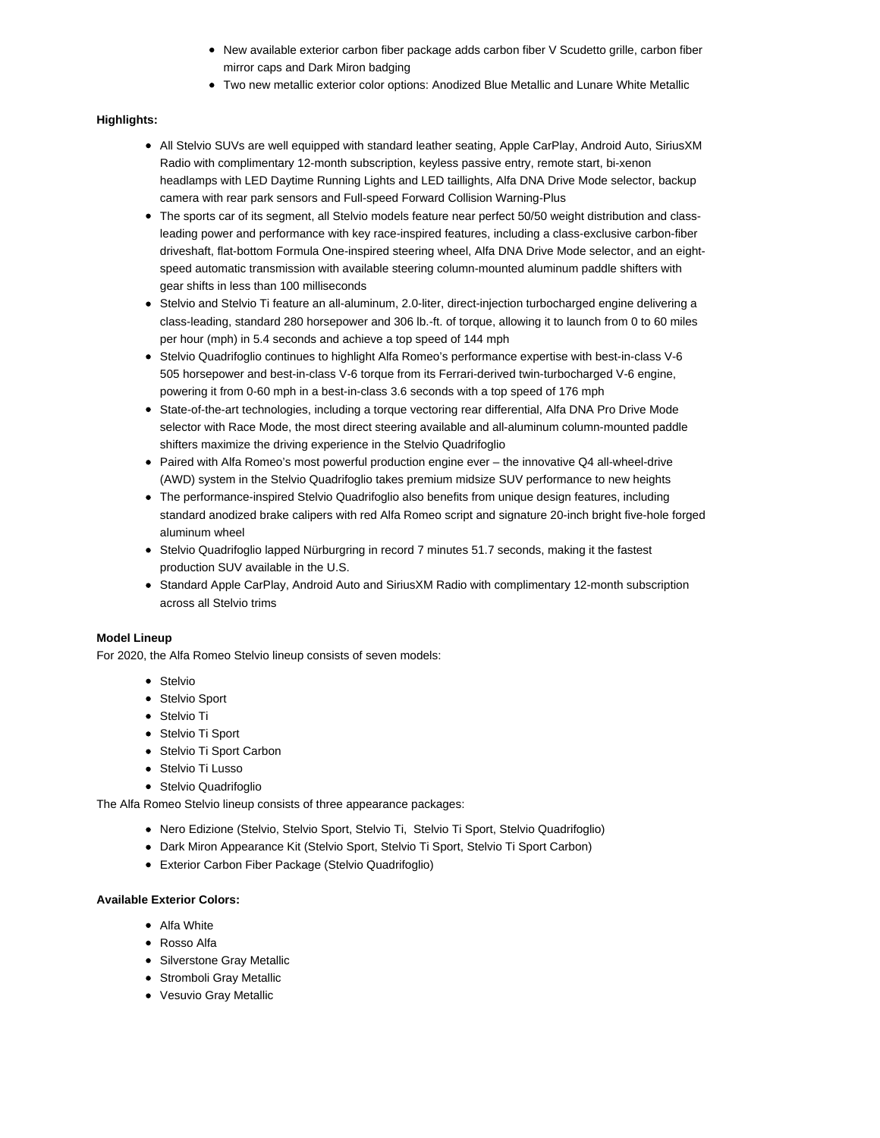- New available exterior carbon fiber package adds carbon fiber V Scudetto grille, carbon fiber mirror caps and Dark Miron badging
- Two new metallic exterior color options: Anodized Blue Metallic and Lunare White Metallic

#### **Highlights:**

- All Stelvio SUVs are well equipped with standard leather seating, Apple CarPlay, Android Auto, SiriusXM Radio with complimentary 12-month subscription, keyless passive entry, remote start, bi-xenon headlamps with LED Daytime Running Lights and LED taillights, Alfa DNA Drive Mode selector, backup camera with rear park sensors and Full-speed Forward Collision Warning-Plus
- The sports car of its segment, all Stelvio models feature near perfect 50/50 weight distribution and classleading power and performance with key race-inspired features, including a class-exclusive carbon-fiber driveshaft, flat-bottom Formula One-inspired steering wheel, Alfa DNA Drive Mode selector, and an eightspeed automatic transmission with available steering column-mounted aluminum paddle shifters with gear shifts in less than 100 milliseconds
- Stelvio and Stelvio Ti feature an all-aluminum, 2.0-liter, direct-injection turbocharged engine delivering a class-leading, standard 280 horsepower and 306 lb.-ft. of torque, allowing it to launch from 0 to 60 miles per hour (mph) in 5.4 seconds and achieve a top speed of 144 mph
- Stelvio Quadrifoglio continues to highlight Alfa Romeo's performance expertise with best-in-class V-6 505 horsepower and best-in-class V-6 torque from its Ferrari-derived twin-turbocharged V-6 engine, powering it from 0-60 mph in a best-in-class 3.6 seconds with a top speed of 176 mph
- State-of-the-art technologies, including a torque vectoring rear differential, Alfa DNA Pro Drive Mode selector with Race Mode, the most direct steering available and all-aluminum column-mounted paddle shifters maximize the driving experience in the Stelvio Quadrifoglio
- Paired with Alfa Romeo's most powerful production engine ever the innovative Q4 all-wheel-drive (AWD) system in the Stelvio Quadrifoglio takes premium midsize SUV performance to new heights
- The performance-inspired Stelvio Quadrifoglio also benefits from unique design features, including standard anodized brake calipers with red Alfa Romeo script and signature 20-inch bright five-hole forged aluminum wheel
- Stelvio Quadrifoglio lapped Nürburgring in record 7 minutes 51.7 seconds, making it the fastest production SUV available in the U.S.
- Standard Apple CarPlay, Android Auto and SiriusXM Radio with complimentary 12-month subscription across all Stelvio trims

# **Model Lineup**

For 2020, the Alfa Romeo Stelvio lineup consists of seven models:

- Stelvio
- Stelvio Sport
- Stelvio Ti
- Stelvio Ti Sport
- Stelvio Ti Sport Carbon
- Stelvio Ti Lusso
- Stelvio Quadrifoglio

The Alfa Romeo Stelvio lineup consists of three appearance packages:

- Nero Edizione (Stelvio, Stelvio Sport, Stelvio Ti, Stelvio Ti Sport, Stelvio Quadrifoglio)
- Dark Miron Appearance Kit (Stelvio Sport, Stelvio Ti Sport, Stelvio Ti Sport Carbon)
- Exterior Carbon Fiber Package (Stelvio Quadrifoglio)

#### **Available Exterior Colors:**

- Alfa White
- Rosso Alfa
- Silverstone Grav Metallic
- Stromboli Gray Metallic
- Vesuvio Gray Metallic